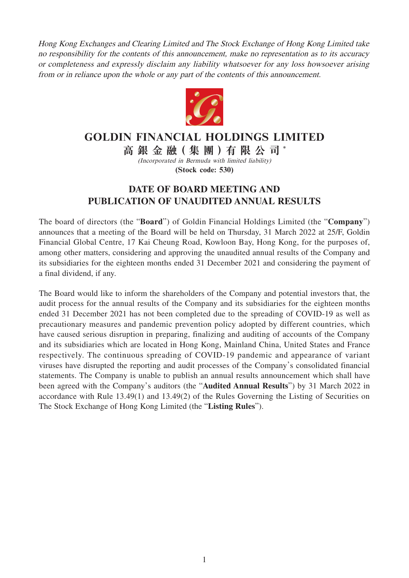Hong Kong Exchanges and Clearing Limited and The Stock Exchange of Hong Kong Limited take no responsibility for the contents of this announcement, make no representation as to its accuracy or completeness and expressly disclaim any liability whatsoever for any loss howsoever arising from or in reliance upon the whole or any part of the contents of this announcement.



## **GOLDIN FINANCIAL HOLDINGS LIMITED**

**高銀金融( 集 團 )有限公司** \* (Incorporated in Bermuda with limited liability)

**(Stock code: 530)**

## **DATE OF BOARD MEETING AND PUBLICATION OF UNAUDITED ANNUAL RESULTS**

The board of directors (the "**Board**") of Goldin Financial Holdings Limited (the "**Company**") announces that a meeting of the Board will be held on Thursday, 31 March 2022 at 25/F, Goldin Financial Global Centre, 17 Kai Cheung Road, Kowloon Bay, Hong Kong, for the purposes of, among other matters, considering and approving the unaudited annual results of the Company and its subsidiaries for the eighteen months ended 31 December 2021 and considering the payment of a final dividend, if any.

The Board would like to inform the shareholders of the Company and potential investors that, the audit process for the annual results of the Company and its subsidiaries for the eighteen months ended 31 December 2021 has not been completed due to the spreading of COVID-19 as well as precautionary measures and pandemic prevention policy adopted by different countries, which have caused serious disruption in preparing, finalizing and auditing of accounts of the Company and its subsidiaries which are located in Hong Kong, Mainland China, United States and France respectively. The continuous spreading of COVID-19 pandemic and appearance of variant viruses have disrupted the reporting and audit processes of the Company's consolidated financial statements. The Company is unable to publish an annual results announcement which shall have been agreed with the Company's auditors (the "**Audited Annual Results**") by 31 March 2022 in accordance with Rule 13.49(1) and 13.49(2) of the Rules Governing the Listing of Securities on The Stock Exchange of Hong Kong Limited (the "**Listing Rules**").